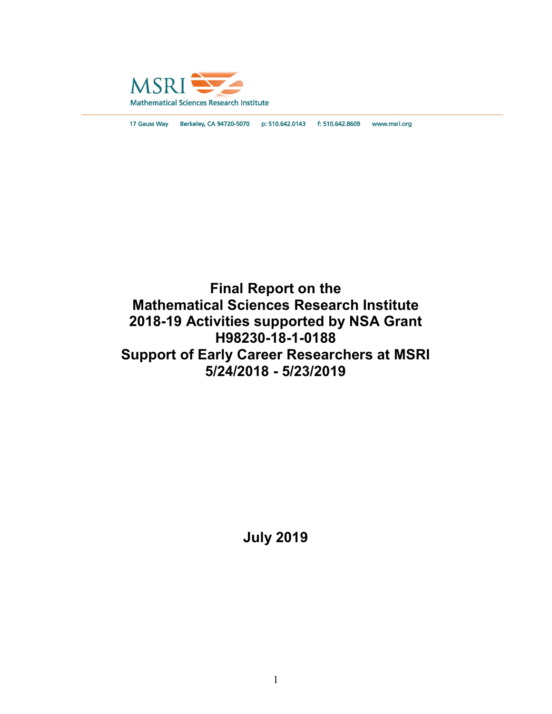

17 Gauss Way Berkeley, CA 94720-5070 p: 510.642.0143 f: 510.642.8609 www.msri.org

# Final Report on the Mathematical Sciences Research Institute 2018-19 Activities supported by NSA Grant H98230-18-1-0188 Support of Early Career Researchers at MSRI 5/24/2018 - 5/23/2019

July 2019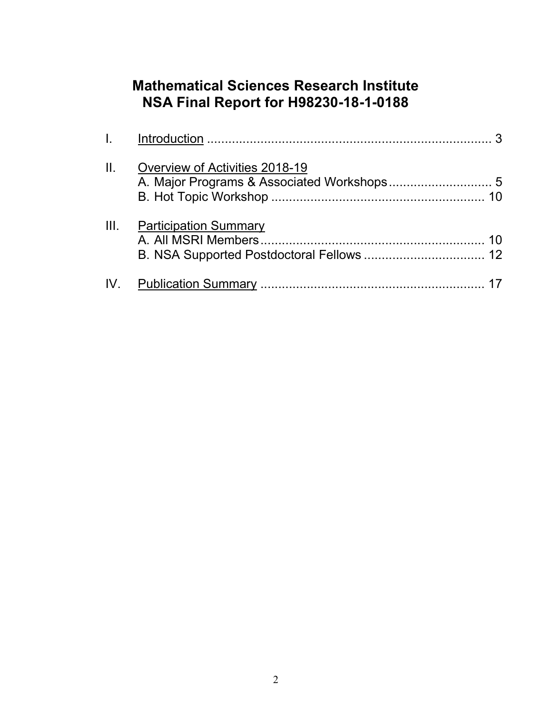# Mathematical Sciences Research Institute NSA Final Report for H98230-18-1-0188

| L. Sa |                                |  |
|-------|--------------------------------|--|
| Ш.    | Overview of Activities 2018-19 |  |
| III.  | <b>Participation Summary</b>   |  |
|       |                                |  |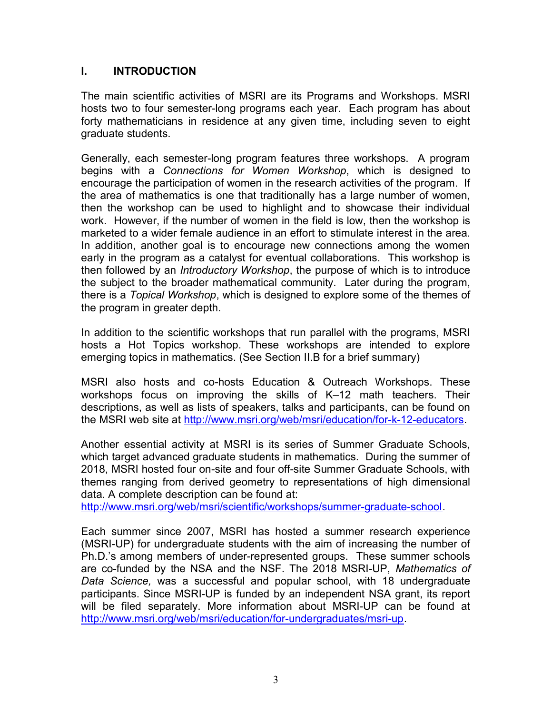#### I. INTRODUCTION

The main scientific activities of MSRI are its Programs and Workshops. MSRI hosts two to four semester-long programs each year. Each program has about forty mathematicians in residence at any given time, including seven to eight graduate students.

Generally, each semester-long program features three workshops. A program begins with a Connections for Women Workshop, which is designed to encourage the participation of women in the research activities of the program. If the area of mathematics is one that traditionally has a large number of women, then the workshop can be used to highlight and to showcase their individual work. However, if the number of women in the field is low, then the workshop is marketed to a wider female audience in an effort to stimulate interest in the area. In addition, another goal is to encourage new connections among the women early in the program as a catalyst for eventual collaborations. This workshop is then followed by an Introductory Workshop, the purpose of which is to introduce the subject to the broader mathematical community. Later during the program, there is a Topical Workshop, which is designed to explore some of the themes of the program in greater depth.

In addition to the scientific workshops that run parallel with the programs, MSRI hosts a Hot Topics workshop. These workshops are intended to explore emerging topics in mathematics. (See Section II.B for a brief summary)

MSRI also hosts and co-hosts Education & Outreach Workshops. These workshops focus on improving the skills of K–12 math teachers. Their descriptions, as well as lists of speakers, talks and participants, can be found on the MSRI web site at http://www.msri.org/web/msri/education/for-k-12-educators.

Another essential activity at MSRI is its series of Summer Graduate Schools, which target advanced graduate students in mathematics. During the summer of 2018, MSRI hosted four on-site and four off-site Summer Graduate Schools, with themes ranging from derived geometry to representations of high dimensional data. A complete description can be found at:

http://www.msri.org/web/msri/scientific/workshops/summer-graduate-school.

Each summer since 2007, MSRI has hosted a summer research experience (MSRI-UP) for undergraduate students with the aim of increasing the number of Ph.D.'s among members of under-represented groups. These summer schools are co-funded by the NSA and the NSF. The 2018 MSRI-UP, Mathematics of Data Science, was a successful and popular school, with 18 undergraduate participants. Since MSRI-UP is funded by an independent NSA grant, its report will be filed separately. More information about MSRI-UP can be found at http://www.msri.org/web/msri/education/for-undergraduates/msri-up.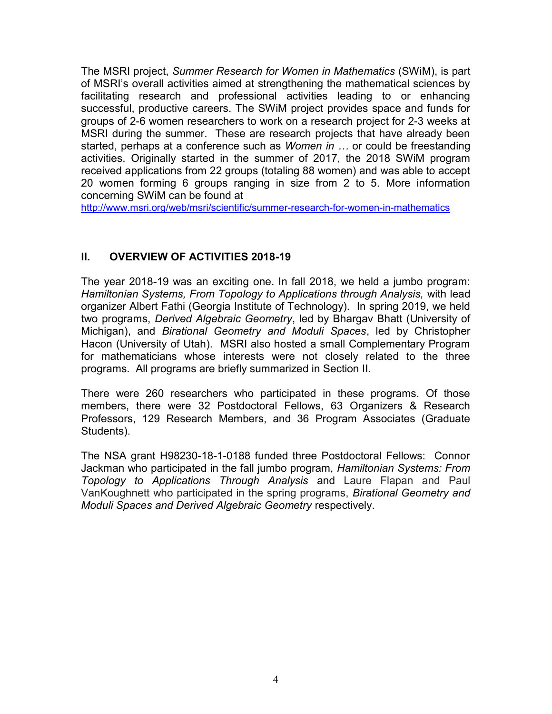The MSRI project, Summer Research for Women in Mathematics (SWiM), is part of MSRI's overall activities aimed at strengthening the mathematical sciences by facilitating research and professional activities leading to or enhancing successful, productive careers. The SWiM project provides space and funds for groups of 2-6 women researchers to work on a research project for 2-3 weeks at MSRI during the summer. These are research projects that have already been started, perhaps at a conference such as Women in ... or could be freestanding activities. Originally started in the summer of 2017, the 2018 SWiM program received applications from 22 groups (totaling 88 women) and was able to accept 20 women forming 6 groups ranging in size from 2 to 5. More information concerning SWiM can be found at

http://www.msri.org/web/msri/scientific/summer-research-for-women-in-mathematics

# II. OVERVIEW OF ACTIVITIES 2018-19

The year 2018-19 was an exciting one. In fall 2018, we held a jumbo program: Hamiltonian Systems, From Topology to Applications through Analysis, with lead organizer Albert Fathi (Georgia Institute of Technology). In spring 2019, we held two programs, Derived Algebraic Geometry, led by Bhargav Bhatt (University of Michigan), and Birational Geometry and Moduli Spaces, led by Christopher Hacon (University of Utah). MSRI also hosted a small Complementary Program for mathematicians whose interests were not closely related to the three programs. All programs are briefly summarized in Section II.

There were 260 researchers who participated in these programs. Of those members, there were 32 Postdoctoral Fellows, 63 Organizers & Research Professors, 129 Research Members, and 36 Program Associates (Graduate Students).

The NSA grant H98230-18-1-0188 funded three Postdoctoral Fellows: Connor Jackman who participated in the fall jumbo program, Hamiltonian Systems: From Topology to Applications Through Analysis and Laure Flapan and Paul VanKoughnett who participated in the spring programs, Birational Geometry and Moduli Spaces and Derived Algebraic Geometry respectively.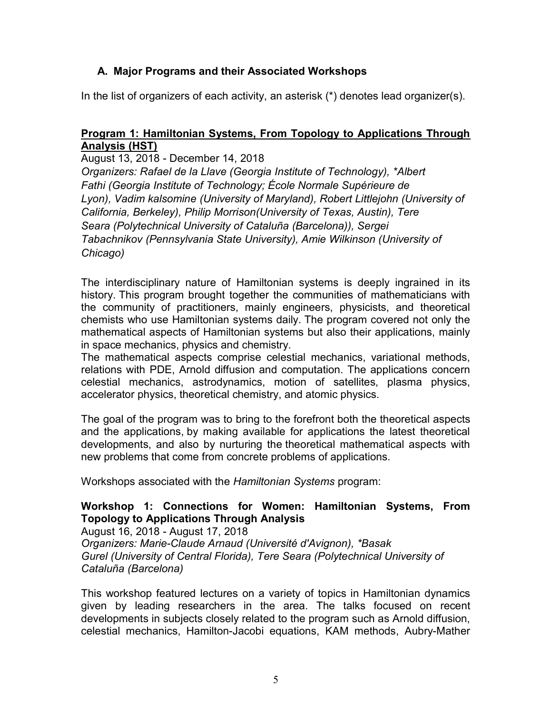# A. Major Programs and their Associated Workshops

In the list of organizers of each activity, an asterisk (\*) denotes lead organizer(s).

# Program 1: Hamiltonian Systems, From Topology to Applications Through Analysis (HST)

August 13, 2018 - December 14, 2018 Organizers: Rafael de la Llave (Georgia Institute of Technology), \*Albert Fathi (Georgia Institute of Technology; École Normale Supérieure de Lyon), Vadim kalsomine (University of Maryland), Robert Littlejohn (University of California, Berkeley), Philip Morrison(University of Texas, Austin), Tere Seara (Polytechnical University of Cataluña (Barcelona)), Sergei Tabachnikov (Pennsylvania State University), Amie Wilkinson (University of Chicago)

The interdisciplinary nature of Hamiltonian systems is deeply ingrained in its history. This program brought together the communities of mathematicians with the community of practitioners, mainly engineers, physicists, and theoretical chemists who use Hamiltonian systems daily. The program covered not only the mathematical aspects of Hamiltonian systems but also their applications, mainly in space mechanics, physics and chemistry.

The mathematical aspects comprise celestial mechanics, variational methods, relations with PDE, Arnold diffusion and computation. The applications concern celestial mechanics, astrodynamics, motion of satellites, plasma physics, accelerator physics, theoretical chemistry, and atomic physics.

The goal of the program was to bring to the forefront both the theoretical aspects and the applications, by making available for applications the latest theoretical developments, and also by nurturing the theoretical mathematical aspects with new problems that come from concrete problems of applications.

Workshops associated with the Hamiltonian Systems program:

# Workshop 1: Connections for Women: Hamiltonian Systems, From Topology to Applications Through Analysis

August 16, 2018 - August 17, 2018 Organizers: Marie-Claude Arnaud (Université d'Avignon), \*Basak Gurel (University of Central Florida), Tere Seara (Polytechnical University of Cataluña (Barcelona)

This workshop featured lectures on a variety of topics in Hamiltonian dynamics given by leading researchers in the area. The talks focused on recent developments in subjects closely related to the program such as Arnold diffusion, celestial mechanics, Hamilton-Jacobi equations, KAM methods, Aubry-Mather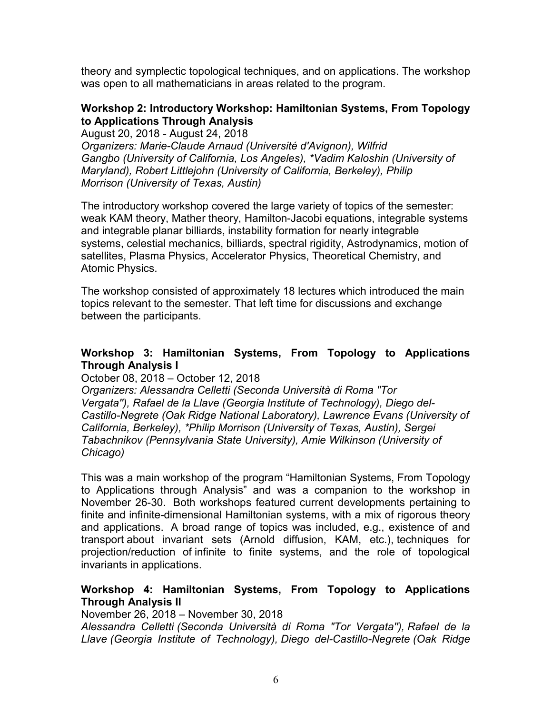theory and symplectic topological techniques, and on applications. The workshop was open to all mathematicians in areas related to the program.

#### Workshop 2: Introductory Workshop: Hamiltonian Systems, From Topology to Applications Through Analysis

August 20, 2018 - August 24, 2018 Organizers: Marie-Claude Arnaud (Université d'Avignon), Wilfrid Gangbo (University of California, Los Angeles), \*Vadim Kaloshin (University of Maryland), Robert Littlejohn (University of California, Berkeley), Philip Morrison (University of Texas, Austin)

The introductory workshop covered the large variety of topics of the semester: weak KAM theory, Mather theory, Hamilton-Jacobi equations, integrable systems and integrable planar billiards, instability formation for nearly integrable systems, celestial mechanics, billiards, spectral rigidity, Astrodynamics, motion of satellites, Plasma Physics, Accelerator Physics, Theoretical Chemistry, and Atomic Physics.

The workshop consisted of approximately 18 lectures which introduced the main topics relevant to the semester. That left time for discussions and exchange between the participants.

## Workshop 3: Hamiltonian Systems, From Topology to Applications Through Analysis I

#### October 08, 2018 – October 12, 2018

Organizers: Alessandra Celletti (Seconda Università di Roma "Tor Vergata''), Rafael de la Llave (Georgia Institute of Technology), Diego del-Castillo-Negrete (Oak Ridge National Laboratory), Lawrence Evans (University of California, Berkeley), \*Philip Morrison (University of Texas, Austin), Sergei Tabachnikov (Pennsylvania State University), Amie Wilkinson (University of Chicago)

This was a main workshop of the program "Hamiltonian Systems, From Topology to Applications through Analysis" and was a companion to the workshop in November 26-30. Both workshops featured current developments pertaining to finite and infinite-dimensional Hamiltonian systems, with a mix of rigorous theory and applications. A broad range of topics was included, e.g., existence of and transport about invariant sets (Arnold diffusion, KAM, etc.), techniques for projection/reduction of infinite to finite systems, and the role of topological invariants in applications.

#### Workshop 4: Hamiltonian Systems, From Topology to Applications Through Analysis II

November 26, 2018 – November 30, 2018

Alessandra Celletti (Seconda Università di Roma "Tor Vergata''), Rafael de la Llave (Georgia Institute of Technology), Diego del-Castillo-Negrete (Oak Ridge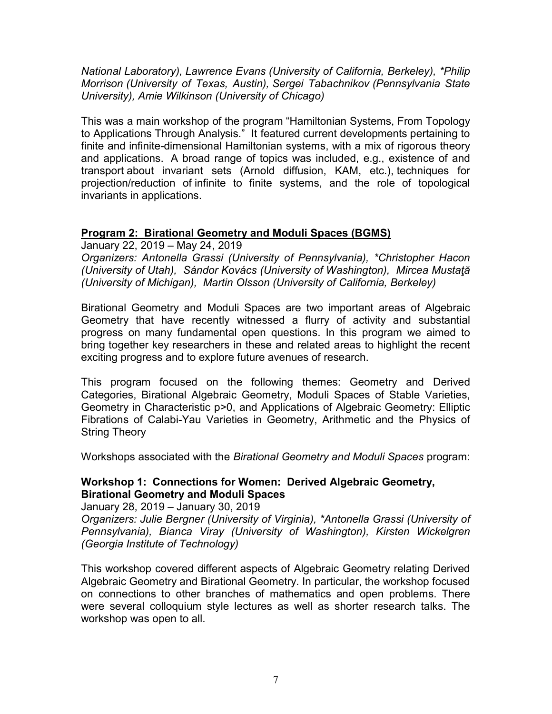National Laboratory), Lawrence Evans (University of California, Berkeley), \*Philip Morrison (University of Texas, Austin), Sergei Tabachnikov (Pennsylvania State University), Amie Wilkinson (University of Chicago)

This was a main workshop of the program "Hamiltonian Systems, From Topology to Applications Through Analysis." It featured current developments pertaining to finite and infinite-dimensional Hamiltonian systems, with a mix of rigorous theory and applications. A broad range of topics was included, e.g., existence of and transport about invariant sets (Arnold diffusion, KAM, etc.), techniques for projection/reduction of infinite to finite systems, and the role of topological invariants in applications.

## Program 2: Birational Geometry and Moduli Spaces (BGMS)

January 22, 2019 – May 24, 2019

Organizers: Antonella Grassi (University of Pennsylvania), \*Christopher Hacon (University of Utah), Sándor Kovács (University of Washington), Mircea Mustaţă (University of Michigan), Martin Olsson (University of California, Berkeley)

Birational Geometry and Moduli Spaces are two important areas of Algebraic Geometry that have recently witnessed a flurry of activity and substantial progress on many fundamental open questions. In this program we aimed to bring together key researchers in these and related areas to highlight the recent exciting progress and to explore future avenues of research.

This program focused on the following themes: Geometry and Derived Categories, Birational Algebraic Geometry, Moduli Spaces of Stable Varieties, Geometry in Characteristic p>0, and Applications of Algebraic Geometry: Elliptic Fibrations of Calabi-Yau Varieties in Geometry, Arithmetic and the Physics of String Theory

Workshops associated with the Birational Geometry and Moduli Spaces program:

## Workshop 1: Connections for Women: Derived Algebraic Geometry, Birational Geometry and Moduli Spaces

January 28, 2019 – January 30, 2019 Organizers: Julie Bergner (University of Virginia), \*Antonella Grassi (University of Pennsylvania), Bianca Viray (University of Washington), Kirsten Wickelgren (Georgia Institute of Technology)

This workshop covered different aspects of Algebraic Geometry relating Derived Algebraic Geometry and Birational Geometry. In particular, the workshop focused on connections to other branches of mathematics and open problems. There were several colloquium style lectures as well as shorter research talks. The workshop was open to all.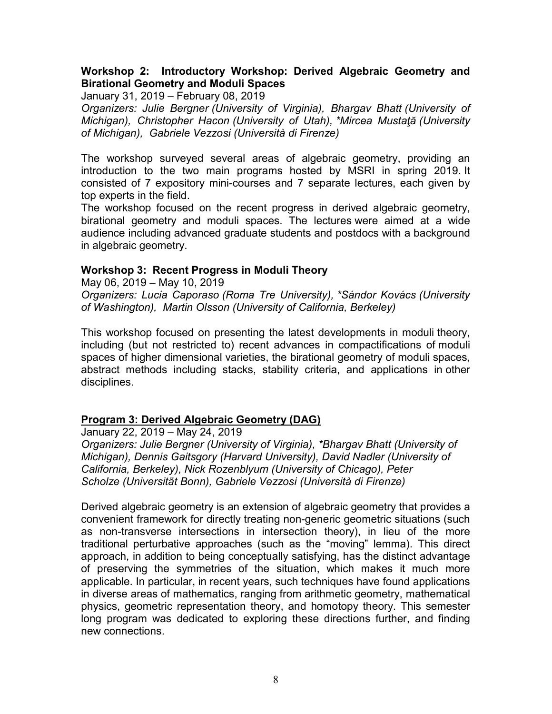#### Workshop 2: Introductory Workshop: Derived Algebraic Geometry and Birational Geometry and Moduli Spaces

January 31, 2019 – February 08, 2019

Organizers: Julie Bergner (University of Virginia), Bhargav Bhatt (University of Michigan), Christopher Hacon (University of Utah), \*Mircea Mustată (University of Michigan), Gabriele Vezzosi (Università di Firenze)

The workshop surveyed several areas of algebraic geometry, providing an introduction to the two main programs hosted by MSRI in spring 2019. It consisted of 7 expository mini-courses and 7 separate lectures, each given by top experts in the field.

The workshop focused on the recent progress in derived algebraic geometry, birational geometry and moduli spaces. The lectures were aimed at a wide audience including advanced graduate students and postdocs with a background in algebraic geometry.

#### Workshop 3: Recent Progress in Moduli Theory

May 06, 2019 – May 10, 2019

Organizers: Lucia Caporaso (Roma Tre University), \*Sándor Kovács (University of Washington), Martin Olsson (University of California, Berkeley)

This workshop focused on presenting the latest developments in moduli theory, including (but not restricted to) recent advances in compactifications of moduli spaces of higher dimensional varieties, the birational geometry of moduli spaces, abstract methods including stacks, stability criteria, and applications in other disciplines.

#### Program 3: Derived Algebraic Geometry (DAG)

January 22, 2019 – May 24, 2019 Organizers: Julie Bergner (University of Virginia), \*Bhargav Bhatt (University of Michigan), Dennis Gaitsgory (Harvard University), David Nadler (University of California, Berkeley), Nick Rozenblyum (University of Chicago), Peter Scholze (Universität Bonn), Gabriele Vezzosi (Università di Firenze)

Derived algebraic geometry is an extension of algebraic geometry that provides a convenient framework for directly treating non-generic geometric situations (such as non-transverse intersections in intersection theory), in lieu of the more traditional perturbative approaches (such as the "moving" lemma). This direct approach, in addition to being conceptually satisfying, has the distinct advantage of preserving the symmetries of the situation, which makes it much more applicable. In particular, in recent years, such techniques have found applications in diverse areas of mathematics, ranging from arithmetic geometry, mathematical physics, geometric representation theory, and homotopy theory. This semester long program was dedicated to exploring these directions further, and finding new connections.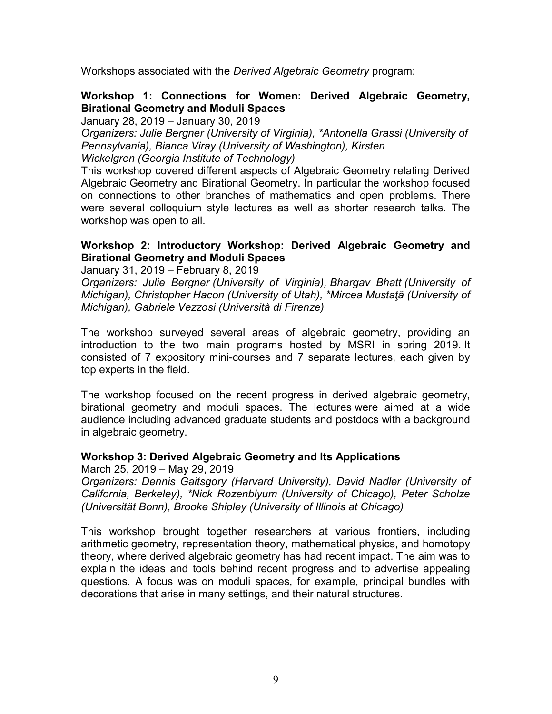Workshops associated with the Derived Algebraic Geometry program:

#### Workshop 1: Connections for Women: Derived Algebraic Geometry, Birational Geometry and Moduli Spaces

January 28, 2019 – January 30, 2019

Organizers: Julie Bergner (University of Virginia), \*Antonella Grassi (University of Pennsylvania), Bianca Viray (University of Washington), Kirsten Wickelgren (Georgia Institute of Technology)

This workshop covered different aspects of Algebraic Geometry relating Derived Algebraic Geometry and Birational Geometry. In particular the workshop focused on connections to other branches of mathematics and open problems. There were several colloquium style lectures as well as shorter research talks. The workshop was open to all.

## Workshop 2: Introductory Workshop: Derived Algebraic Geometry and Birational Geometry and Moduli Spaces

January 31, 2019 – February 8, 2019

Organizers: Julie Bergner (University of Virginia), Bhargav Bhatt (University of Michigan), Christopher Hacon (University of Utah), \*Mircea Mustaţă (University of Michigan), Gabriele Vezzosi (Università di Firenze)

The workshop surveyed several areas of algebraic geometry, providing an introduction to the two main programs hosted by MSRI in spring 2019. It consisted of 7 expository mini-courses and 7 separate lectures, each given by top experts in the field.

The workshop focused on the recent progress in derived algebraic geometry, birational geometry and moduli spaces. The lectures were aimed at a wide audience including advanced graduate students and postdocs with a background in algebraic geometry.

#### Workshop 3: Derived Algebraic Geometry and Its Applications

March 25, 2019 – May 29, 2019

Organizers: Dennis Gaitsgory (Harvard University), David Nadler (University of California, Berkeley), \*Nick Rozenblyum (University of Chicago), Peter Scholze (Universität Bonn), Brooke Shipley (University of Illinois at Chicago)

This workshop brought together researchers at various frontiers, including arithmetic geometry, representation theory, mathematical physics, and homotopy theory, where derived algebraic geometry has had recent impact. The aim was to explain the ideas and tools behind recent progress and to advertise appealing questions. A focus was on moduli spaces, for example, principal bundles with decorations that arise in many settings, and their natural structures.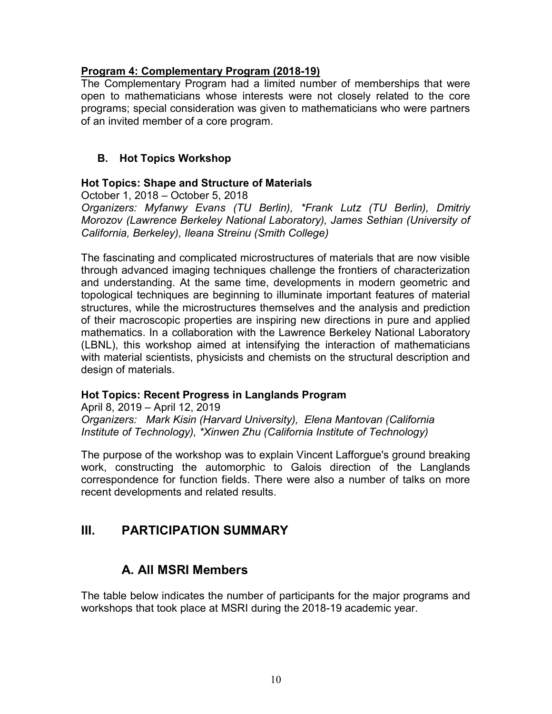## Program 4: Complementary Program (2018-19)

The Complementary Program had a limited number of memberships that were open to mathematicians whose interests were not closely related to the core programs; special consideration was given to mathematicians who were partners of an invited member of a core program.

# B. Hot Topics Workshop

# Hot Topics: Shape and Structure of Materials

October 1, 2018 – October 5, 2018

Organizers: Myfanwy Evans (TU Berlin), \*Frank Lutz (TU Berlin), Dmitriy Morozov (Lawrence Berkeley National Laboratory), James Sethian (University of California, Berkeley), Ileana Streinu (Smith College)

The fascinating and complicated microstructures of materials that are now visible through advanced imaging techniques challenge the frontiers of characterization and understanding. At the same time, developments in modern geometric and topological techniques are beginning to illuminate important features of material structures, while the microstructures themselves and the analysis and prediction of their macroscopic properties are inspiring new directions in pure and applied mathematics. In a collaboration with the Lawrence Berkeley National Laboratory (LBNL), this workshop aimed at intensifying the interaction of mathematicians with material scientists, physicists and chemists on the structural description and design of materials.

# Hot Topics: Recent Progress in Langlands Program

April 8, 2019 – April 12, 2019 Organizers: Mark Kisin (Harvard University), Elena Mantovan (California Institute of Technology), \*Xinwen Zhu (California Institute of Technology)

The purpose of the workshop was to explain Vincent Lafforgue's ground breaking work, constructing the automorphic to Galois direction of the Langlands correspondence for function fields. There were also a number of talks on more recent developments and related results.

# III. PARTICIPATION SUMMARY

# A. All MSRI Members

The table below indicates the number of participants for the major programs and workshops that took place at MSRI during the 2018-19 academic year.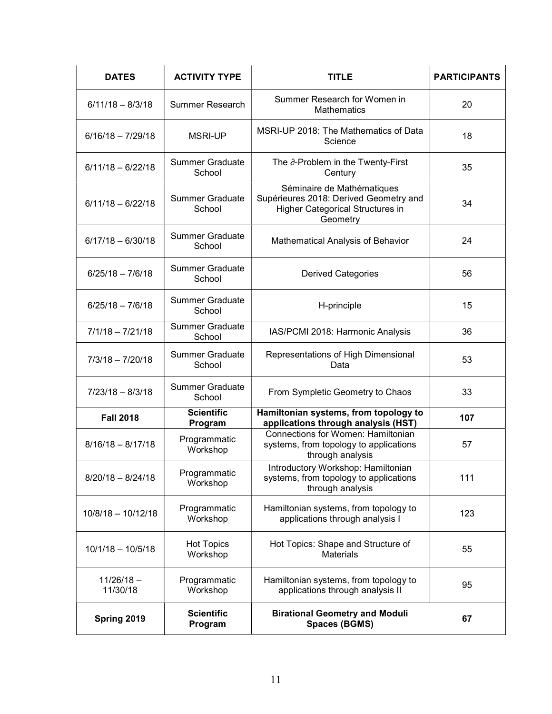| <b>DATES</b>             | <b>ACTIVITY TYPE</b>             | <b>TITLE</b>                                                                                                                | <b>PARTICIPANTS</b> |
|--------------------------|----------------------------------|-----------------------------------------------------------------------------------------------------------------------------|---------------------|
| $6/11/18 - 8/3/18$       | Summer Research                  | Summer Research for Women in<br><b>Mathematics</b>                                                                          | 20                  |
| $6/16/18 - 7/29/18$      | <b>MSRI-UP</b>                   | MSRI-UP 2018: The Mathematics of Data<br>Science                                                                            | 18                  |
| $6/11/18 - 6/22/18$      | <b>Summer Graduate</b><br>School | The $\partial$ -Problem in the Twenty-First<br>Century                                                                      | 35                  |
| $6/11/18 - 6/22/18$      | <b>Summer Graduate</b><br>School | Séminaire de Mathématiques<br>Supérieures 2018: Derived Geometry and<br><b>Higher Categorical Structures in</b><br>Geometry | 34                  |
| $6/17/18 - 6/30/18$      | <b>Summer Graduate</b><br>School | Mathematical Analysis of Behavior                                                                                           | 24                  |
| $6/25/18 - 7/6/18$       | <b>Summer Graduate</b><br>School | <b>Derived Categories</b>                                                                                                   | 56                  |
| $6/25/18 - 7/6/18$       | <b>Summer Graduate</b><br>School | H-principle                                                                                                                 | 15                  |
| $7/1/18 - 7/21/18$       | <b>Summer Graduate</b><br>School | IAS/PCMI 2018: Harmonic Analysis                                                                                            | 36                  |
| $7/3/18 - 7/20/18$       | <b>Summer Graduate</b><br>School | Representations of High Dimensional<br>Data                                                                                 | 53                  |
| $7/23/18 - 8/3/18$       | <b>Summer Graduate</b><br>School | From Sympletic Geometry to Chaos                                                                                            | 33                  |
| <b>Fall 2018</b>         | <b>Scientific</b><br>Program     | Hamiltonian systems, from topology to<br>applications through analysis (HST)                                                | 107                 |
| $8/16/18 - 8/17/18$      | Programmatic<br>Workshop         | Connections for Women: Hamiltonian<br>systems, from topology to applications<br>through analysis                            | 57                  |
| $8/20/18 - 8/24/18$      | Programmatic<br>Workshop         | Introductory Workshop: Hamiltonian<br>systems, from topology to applications<br>through analysis                            | 111                 |
| $10/8/18 - 10/12/18$     | Programmatic<br>Workshop         | Hamiltonian systems, from topology to<br>applications through analysis I                                                    | 123                 |
| $10/1/18 - 10/5/18$      | <b>Hot Topics</b><br>Workshop    | Hot Topics: Shape and Structure of<br><b>Materials</b>                                                                      | 55                  |
| $11/26/18 -$<br>11/30/18 | Programmatic<br>Workshop         | Hamiltonian systems, from topology to<br>applications through analysis II                                                   | 95                  |
| Spring 2019              | <b>Scientific</b><br>Program     | <b>Birational Geometry and Moduli</b><br><b>Spaces (BGMS)</b>                                                               | 67                  |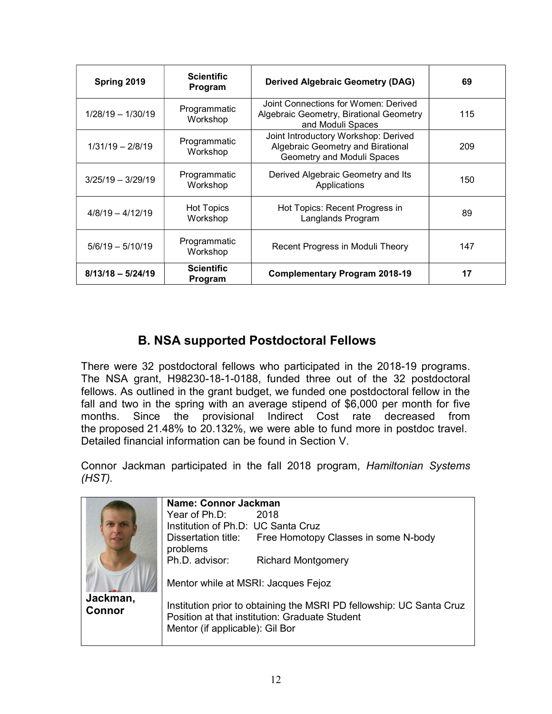| Spring 2019         | <b>Scientific</b><br>Program  | <b>Derived Algebraic Geometry (DAG)</b>                                                                 | 69  |
|---------------------|-------------------------------|---------------------------------------------------------------------------------------------------------|-----|
| $1/28/19 - 1/30/19$ | Programmatic<br>Workshop      | Joint Connections for Women: Derived<br>Algebraic Geometry, Birational Geometry<br>and Moduli Spaces    | 115 |
| $1/31/19 - 2/8/19$  | Programmatic<br>Workshop      | Joint Introductory Workshop: Derived<br>Algebraic Geometry and Birational<br>Geometry and Moduli Spaces | 209 |
| $3/25/19 - 3/29/19$ | Programmatic<br>Workshop      | Derived Algebraic Geometry and Its<br>Applications                                                      | 150 |
| $4/8/19 - 4/12/19$  | <b>Hot Topics</b><br>Workshop | Hot Topics: Recent Progress in<br>Langlands Program                                                     | 89  |
| $5/6/19 - 5/10/19$  | Programmatic<br>Workshop      | Recent Progress in Moduli Theory                                                                        | 147 |
| $8/13/18 - 5/24/19$ | <b>Scientific</b><br>Program  | <b>Complementary Program 2018-19</b>                                                                    | 17  |

# B. NSA supported Postdoctoral Fellows

There were 32 postdoctoral fellows who participated in the 2018-19 programs. The NSA grant, H98230-18-1-0188, funded three out of the 32 postdoctoral fellows. As outlined in the grant budget, we funded one postdoctoral fellow in the fall and two in the spring with an average stipend of \$6,000 per month for five months. Since the provisional Indirect Cost rate decreased from the proposed 21.48% to 20.132%, we were able to fund more in postdoc travel. Detailed financial information can be found in Section V.

Connor Jackman participated in the fall 2018 program, Hamiltonian Systems (HST).

|                           | Name: Connor Jackman                                                                                                                                      |                                                          |  |
|---------------------------|-----------------------------------------------------------------------------------------------------------------------------------------------------------|----------------------------------------------------------|--|
|                           | Year of $Ph D: 2018$                                                                                                                                      |                                                          |  |
|                           | Institution of Ph.D: UC Santa Cruz                                                                                                                        |                                                          |  |
|                           | problems                                                                                                                                                  | Dissertation title: Free Homotopy Classes in some N-body |  |
|                           | Ph.D. advisor:                                                                                                                                            | <b>Richard Montgomery</b>                                |  |
|                           | Mentor while at MSRI: Jacques Fejoz                                                                                                                       |                                                          |  |
| Jackman,<br><b>Connor</b> | Institution prior to obtaining the MSRI PD fellowship: UC Santa Cruz<br>Position at that institution: Graduate Student<br>Mentor (if applicable): Gil Bor |                                                          |  |
|                           |                                                                                                                                                           |                                                          |  |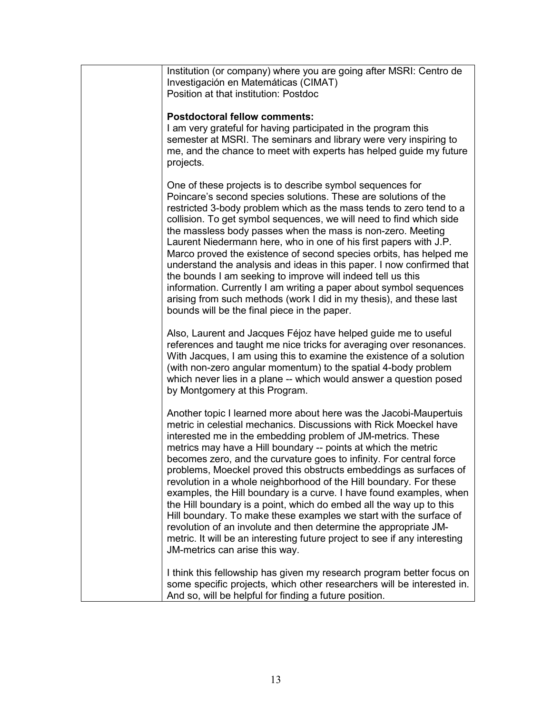| Institution (or company) where you are going after MSRI: Centro de<br>Investigación en Matemáticas (CIMAT)<br>Position at that institution: Postdoc                                                                                                                                                                                                                                                                                                                                                                                                                                                                                                                                                                                                                                                                                                                                               |
|---------------------------------------------------------------------------------------------------------------------------------------------------------------------------------------------------------------------------------------------------------------------------------------------------------------------------------------------------------------------------------------------------------------------------------------------------------------------------------------------------------------------------------------------------------------------------------------------------------------------------------------------------------------------------------------------------------------------------------------------------------------------------------------------------------------------------------------------------------------------------------------------------|
| <b>Postdoctoral fellow comments:</b><br>I am very grateful for having participated in the program this<br>semester at MSRI. The seminars and library were very inspiring to<br>me, and the chance to meet with experts has helped guide my future<br>projects.                                                                                                                                                                                                                                                                                                                                                                                                                                                                                                                                                                                                                                    |
| One of these projects is to describe symbol sequences for<br>Poincare's second species solutions. These are solutions of the<br>restricted 3-body problem which as the mass tends to zero tend to a<br>collision. To get symbol sequences, we will need to find which side<br>the massless body passes when the mass is non-zero. Meeting<br>Laurent Niedermann here, who in one of his first papers with J.P.<br>Marco proved the existence of second species orbits, has helped me<br>understand the analysis and ideas in this paper. I now confirmed that<br>the bounds I am seeking to improve will indeed tell us this<br>information. Currently I am writing a paper about symbol sequences<br>arising from such methods (work I did in my thesis), and these last<br>bounds will be the final piece in the paper.                                                                         |
| Also, Laurent and Jacques Féjoz have helped guide me to useful<br>references and taught me nice tricks for averaging over resonances.<br>With Jacques, I am using this to examine the existence of a solution<br>(with non-zero angular momentum) to the spatial 4-body problem<br>which never lies in a plane -- which would answer a question posed<br>by Montgomery at this Program.                                                                                                                                                                                                                                                                                                                                                                                                                                                                                                           |
| Another topic I learned more about here was the Jacobi-Maupertuis<br>metric in celestial mechanics. Discussions with Rick Moeckel have<br>interested me in the embedding problem of JM-metrics. These<br>metrics may have a Hill boundary -- points at which the metric<br>becomes zero, and the curvature goes to infinity. For central force<br>problems, Moeckel proved this obstructs embeddings as surfaces of<br>revolution in a whole neighborhood of the Hill boundary. For these<br>examples, the Hill boundary is a curve. I have found examples, when<br>the Hill boundary is a point, which do embed all the way up to this<br>Hill boundary. To make these examples we start with the surface of<br>revolution of an involute and then determine the appropriate JM-<br>metric. It will be an interesting future project to see if any interesting<br>JM-metrics can arise this way. |
| I think this fellowship has given my research program better focus on<br>some specific projects, which other researchers will be interested in.<br>And so, will be helpful for finding a future position.                                                                                                                                                                                                                                                                                                                                                                                                                                                                                                                                                                                                                                                                                         |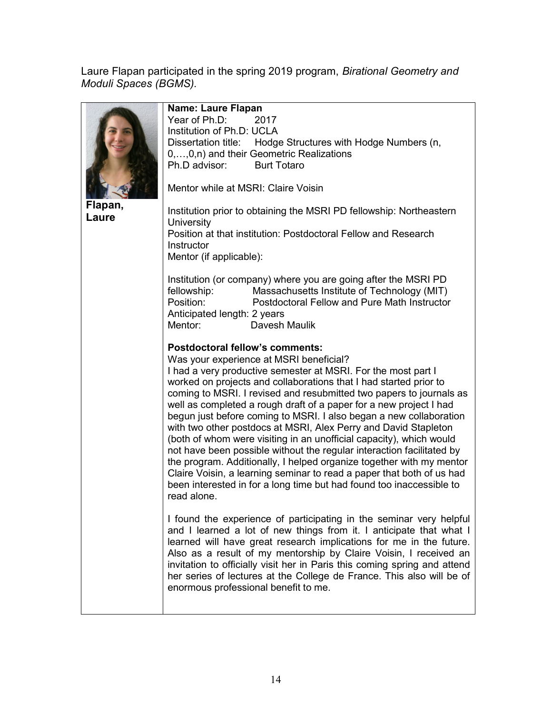Laure Flapan participated in the spring 2019 program, Birational Geometry and Moduli Spaces (BGMS).

|                  | Name: Laure Flapan<br>Year of Ph.D:<br>2017                                                                                                                                                                                                          |  |  |
|------------------|------------------------------------------------------------------------------------------------------------------------------------------------------------------------------------------------------------------------------------------------------|--|--|
|                  | Institution of Ph.D: UCLA                                                                                                                                                                                                                            |  |  |
|                  | Dissertation title: Hodge Structures with Hodge Numbers (n,                                                                                                                                                                                          |  |  |
|                  | 0,,0,n) and their Geometric Realizations                                                                                                                                                                                                             |  |  |
|                  | Ph.D advisor: Burt Totaro                                                                                                                                                                                                                            |  |  |
|                  | Mentor while at MSRI: Claire Voisin                                                                                                                                                                                                                  |  |  |
| Flapan,<br>Laure | Institution prior to obtaining the MSRI PD fellowship: Northeastern<br>University                                                                                                                                                                    |  |  |
|                  | Position at that institution: Postdoctoral Fellow and Research                                                                                                                                                                                       |  |  |
|                  | Instructor                                                                                                                                                                                                                                           |  |  |
|                  | Mentor (if applicable):                                                                                                                                                                                                                              |  |  |
|                  | Institution (or company) where you are going after the MSRI PD<br>Massachusetts Institute of Technology (MIT)<br>fellowship:<br>Position:<br>Postdoctoral Fellow and Pure Math Instructor<br>Anticipated length: 2 years<br>Mentor:<br>Davesh Maulik |  |  |
|                  | Postdoctoral fellow's comments:                                                                                                                                                                                                                      |  |  |
|                  | Was your experience at MSRI beneficial?                                                                                                                                                                                                              |  |  |
|                  | I had a very productive semester at MSRI. For the most part I                                                                                                                                                                                        |  |  |
|                  | worked on projects and collaborations that I had started prior to                                                                                                                                                                                    |  |  |
|                  | coming to MSRI. I revised and resubmitted two papers to journals as                                                                                                                                                                                  |  |  |
|                  | well as completed a rough draft of a paper for a new project I had                                                                                                                                                                                   |  |  |
|                  | begun just before coming to MSRI. I also began a new collaboration                                                                                                                                                                                   |  |  |
|                  | with two other postdocs at MSRI, Alex Perry and David Stapleton<br>(both of whom were visiting in an unofficial capacity), which would                                                                                                               |  |  |
|                  | not have been possible without the regular interaction facilitated by                                                                                                                                                                                |  |  |
|                  | the program. Additionally, I helped organize together with my mentor                                                                                                                                                                                 |  |  |
|                  | Claire Voisin, a learning seminar to read a paper that both of us had                                                                                                                                                                                |  |  |
|                  | been interested in for a long time but had found too inaccessible to                                                                                                                                                                                 |  |  |
|                  | read alone.                                                                                                                                                                                                                                          |  |  |
|                  |                                                                                                                                                                                                                                                      |  |  |
|                  | I found the experience of participating in the seminar very helpful<br>and I learned a lot of new things from it. I anticipate that what I                                                                                                           |  |  |
|                  | learned will have great research implications for me in the future.                                                                                                                                                                                  |  |  |
|                  | Also as a result of my mentorship by Claire Voisin, I received an                                                                                                                                                                                    |  |  |
|                  | invitation to officially visit her in Paris this coming spring and attend                                                                                                                                                                            |  |  |
|                  | her series of lectures at the College de France. This also will be of                                                                                                                                                                                |  |  |
|                  | enormous professional benefit to me.                                                                                                                                                                                                                 |  |  |
|                  |                                                                                                                                                                                                                                                      |  |  |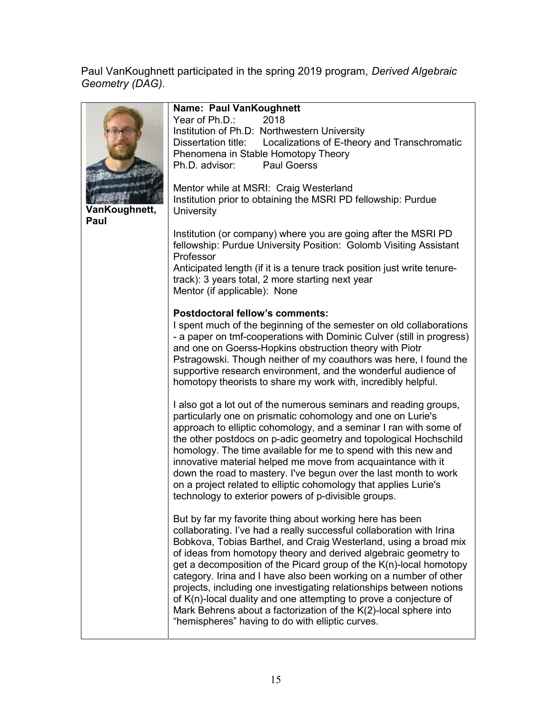Paul VanKoughnett participated in the spring 2019 program, Derived Algebraic Geometry (DAG).

|                       | Name: Paul VanKoughnett<br>Year of Ph.D.:<br>2018<br>Institution of Ph.D: Northwestern University<br>Localizations of E-theory and Transchromatic<br>Dissertation title:<br>Phenomena in Stable Homotopy Theory<br>Ph.D. advisor:<br><b>Paul Goerss</b>                                                                                                                                                                                                                                                                                                                                                                                                                                |
|-----------------------|----------------------------------------------------------------------------------------------------------------------------------------------------------------------------------------------------------------------------------------------------------------------------------------------------------------------------------------------------------------------------------------------------------------------------------------------------------------------------------------------------------------------------------------------------------------------------------------------------------------------------------------------------------------------------------------|
| VanKoughnett,<br>Paul | Mentor while at MSRI: Craig Westerland<br>Institution prior to obtaining the MSRI PD fellowship: Purdue<br>University                                                                                                                                                                                                                                                                                                                                                                                                                                                                                                                                                                  |
|                       | Institution (or company) where you are going after the MSRI PD<br>fellowship: Purdue University Position: Golomb Visiting Assistant<br>Professor<br>Anticipated length (if it is a tenure track position just write tenure-<br>track): 3 years total, 2 more starting next year<br>Mentor (if applicable): None                                                                                                                                                                                                                                                                                                                                                                        |
|                       | <b>Postdoctoral fellow's comments:</b><br>I spent much of the beginning of the semester on old collaborations<br>- a paper on tmf-cooperations with Dominic Culver (still in progress)<br>and one on Goerss-Hopkins obstruction theory with Piotr<br>Pstragowski. Though neither of my coauthors was here, I found the<br>supportive research environment, and the wonderful audience of<br>homotopy theorists to share my work with, incredibly helpful.                                                                                                                                                                                                                              |
|                       | I also got a lot out of the numerous seminars and reading groups,<br>particularly one on prismatic cohomology and one on Lurie's<br>approach to elliptic cohomology, and a seminar I ran with some of<br>the other postdocs on p-adic geometry and topological Hochschild<br>homology. The time available for me to spend with this new and<br>innovative material helped me move from acquaintance with it<br>down the road to mastery. I've begun over the last month to work<br>on a project related to elliptic cohomology that applies Lurie's<br>technology to exterior powers of p-divisible groups.                                                                            |
|                       | But by far my favorite thing about working here has been<br>collaborating. I've had a really successful collaboration with Irina<br>Bobkova, Tobias Barthel, and Craig Westerland, using a broad mix<br>of ideas from homotopy theory and derived algebraic geometry to<br>get a decomposition of the Picard group of the K(n)-local homotopy<br>category. Irina and I have also been working on a number of other<br>projects, including one investigating relationships between notions<br>of K(n)-local duality and one attempting to prove a conjecture of<br>Mark Behrens about a factorization of the K(2)-local sphere into<br>"hemispheres" having to do with elliptic curves. |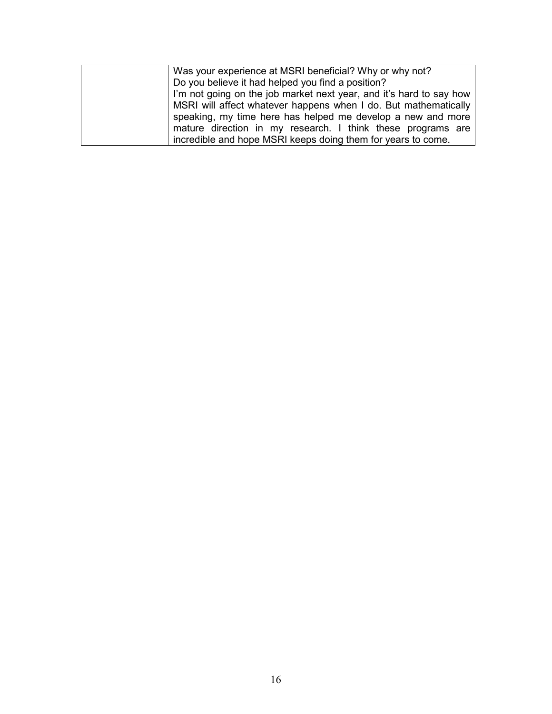| Was your experience at MSRI beneficial? Why or why not?             |
|---------------------------------------------------------------------|
| Do you believe it had helped you find a position?                   |
| I'm not going on the job market next year, and it's hard to say how |
| MSRI will affect whatever happens when I do. But mathematically     |
| speaking, my time here has helped me develop a new and more         |
| mature direction in my research. I think these programs are         |
| incredible and hope MSRI keeps doing them for years to come.        |